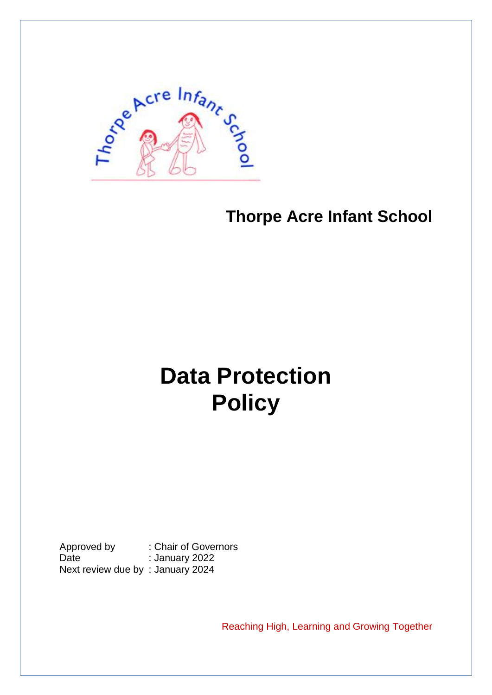

# **Thorpe Acre Infant School**

# **Data Protection Policy**

Approved by : Chair of Governors Date : January 2022 Next review due by : January 2024

Reaching High, Learning and Growing Together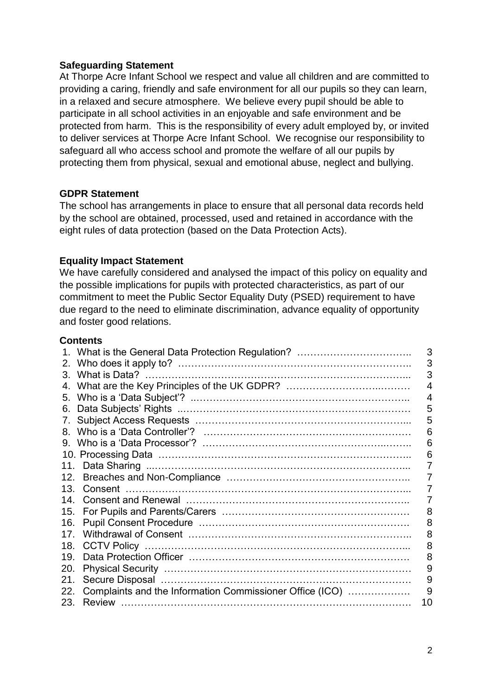# **Safeguarding Statement**

At Thorpe Acre Infant School we respect and value all children and are committed to providing a caring, friendly and safe environment for all our pupils so they can learn, in a relaxed and secure atmosphere. We believe every pupil should be able to participate in all school activities in an enjoyable and safe environment and be protected from harm. This is the responsibility of every adult employed by, or invited to deliver services at Thorpe Acre Infant School. We recognise our responsibility to safeguard all who access school and promote the welfare of all our pupils by protecting them from physical, sexual and emotional abuse, neglect and bullying.

# **GDPR Statement**

The school has arrangements in place to ensure that all personal data records held by the school are obtained, processed, used and retained in accordance with the eight rules of data protection (based on the Data Protection Acts).

# **Equality Impact Statement**

We have carefully considered and analysed the impact of this policy on equality and the possible implications for pupils with protected characteristics, as part of our commitment to meet the Public Sector Equality Duty (PSED) requirement to have due regard to the need to eliminate discrimination, advance equality of opportunity and foster good relations.

# **Contents**

|         |                                                          | 3  |
|---------|----------------------------------------------------------|----|
| 2.      |                                                          | 3  |
| $3_{-}$ |                                                          | 3  |
| 4.      |                                                          |    |
| 5.      |                                                          | 4  |
| 6.      |                                                          | 5  |
| 7.      |                                                          | 5  |
|         |                                                          | 6  |
| 9.      |                                                          | 6  |
|         |                                                          | 6  |
|         |                                                          |    |
| 12.     |                                                          |    |
| 13      |                                                          |    |
| 14      |                                                          |    |
| 15.     |                                                          | 8  |
| 16.     |                                                          | 8  |
| 17      |                                                          | 8  |
| 18.     |                                                          | 8  |
| 19.     |                                                          | 8  |
| 20.     |                                                          | 9  |
| 21.     |                                                          | 9  |
| 22.     | Complaints and the Information Commissioner Office (ICO) | 9  |
| 23.     |                                                          | 10 |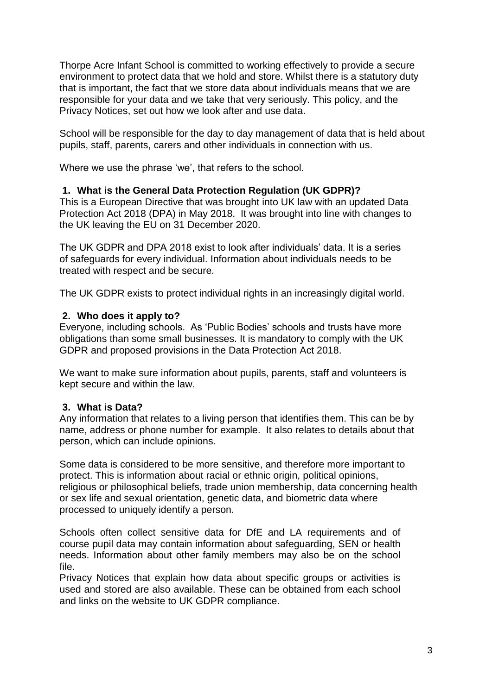Thorpe Acre Infant School is committed to working effectively to provide a secure environment to protect data that we hold and store. Whilst there is a statutory duty that is important, the fact that we store data about individuals means that we are responsible for your data and we take that very seriously. This policy, and the Privacy Notices, set out how we look after and use data.

School will be responsible for the day to day management of data that is held about pupils, staff, parents, carers and other individuals in connection with us.

Where we use the phrase 'we', that refers to the school.

# **1. What is the General Data Protection Regulation (UK GDPR)?**

This is a European Directive that was brought into UK law with an updated Data Protection Act 2018 (DPA) in May 2018. It was brought into line with changes to the UK leaving the EU on 31 December 2020.

The UK GDPR and DPA 2018 exist to look after individuals' data. It is a series of safeguards for every individual. Information about individuals needs to be treated with respect and be secure.

The UK GDPR exists to protect individual rights in an increasingly digital world.

# **2. Who does it apply to?**

Everyone, including schools. As 'Public Bodies' schools and trusts have more obligations than some small businesses. It is mandatory to comply with the UK GDPR and proposed provisions in the Data Protection Act 2018.

We want to make sure information about pupils, parents, staff and volunteers is kept secure and within the law.

# **3. What is Data?**

Any information that relates to a living person that identifies them. This can be by name, address or phone number for example. It also relates to details about that person, which can include opinions.

Some data is considered to be more sensitive, and therefore more important to protect. This is information about racial or ethnic origin, political opinions, religious or philosophical beliefs, trade union membership, data concerning health or sex life and sexual orientation, genetic data, and biometric data where processed to uniquely identify a person.

Schools often collect sensitive data for DfE and LA requirements and of course pupil data may contain information about safeguarding, SEN or health needs. Information about other family members may also be on the school file.

Privacy Notices that explain how data about specific groups or activities is used and stored are also available. These can be obtained from each school and links on the website to UK GDPR compliance.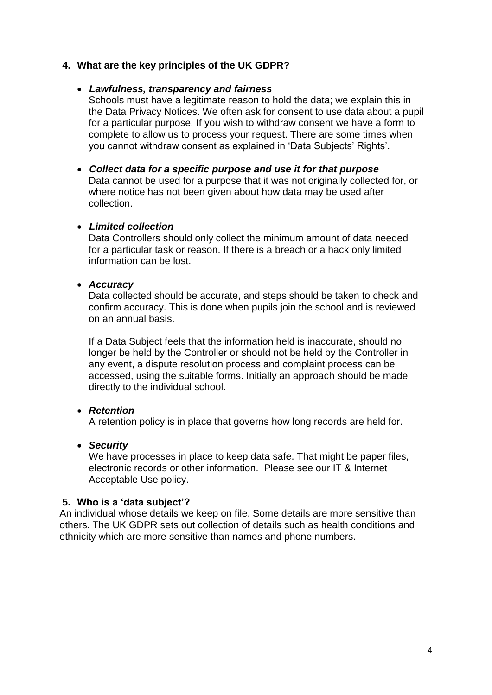# **4. What are the key principles of the UK GDPR?**

#### • *Lawfulness, transparency and fairness*

Schools must have a legitimate reason to hold the data; we explain this in the Data Privacy Notices. We often ask for consent to use data about a pupil for a particular purpose. If you wish to withdraw consent we have a form to complete to allow us to process your request. There are some times when you cannot withdraw consent as explained in 'Data Subjects' Rights'.

# • *Collect data for a specific purpose and use it for that purpose* Data cannot be used for a purpose that it was not originally collected for, or where notice has not been given about how data may be used after collection.

# • *Limited collection*

Data Controllers should only collect the minimum amount of data needed for a particular task or reason. If there is a breach or a hack only limited information can be lost.

#### • *Accuracy*

Data collected should be accurate, and steps should be taken to check and confirm accuracy. This is done when pupils join the school and is reviewed on an annual basis.

If a Data Subject feels that the information held is inaccurate, should no longer be held by the Controller or should not be held by the Controller in any event, a dispute resolution process and complaint process can be accessed, using the suitable forms. Initially an approach should be made directly to the individual school.

# • *Retention*

A retention policy is in place that governs how long records are held for.

# • *Security*

We have processes in place to keep data safe. That might be paper files, electronic records or other information. Please see our IT & Internet Acceptable Use policy.

# **5. Who is a 'data subject'?**

An individual whose details we keep on file. Some details are more sensitive than others. The UK GDPR sets out collection of details such as health conditions and ethnicity which are more sensitive than names and phone numbers.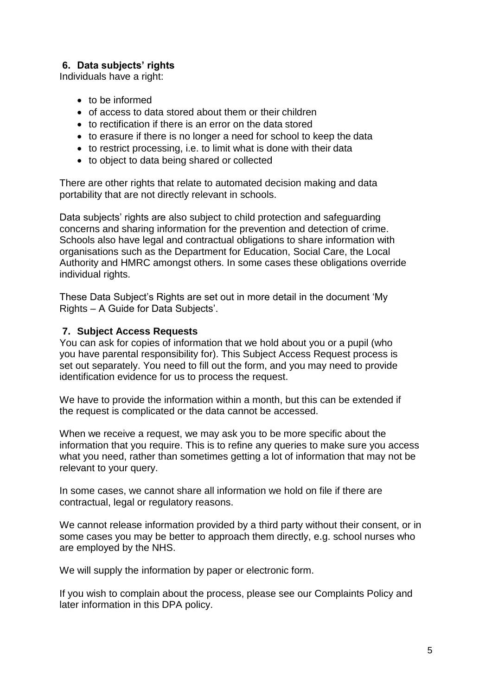# **6. Data subjects' rights**

Individuals have a right:

- to be informed
- of access to data stored about them or their children
- to rectification if there is an error on the data stored
- to erasure if there is no longer a need for school to keep the data
- to restrict processing, i.e. to limit what is done with their data
- to object to data being shared or collected

There are other rights that relate to automated decision making and data portability that are not directly relevant in schools.

Data subjects' rights are also subject to child protection and safeguarding concerns and sharing information for the prevention and detection of crime. Schools also have legal and contractual obligations to share information with organisations such as the Department for Education, Social Care, the Local Authority and HMRC amongst others. In some cases these obligations override individual rights.

These Data Subject's Rights are set out in more detail in the document 'My Rights – A Guide for Data Subjects'.

# **7. Subject Access Requests**

You can ask for copies of information that we hold about you or a pupil (who you have parental responsibility for). This Subject Access Request process is set out separately. You need to fill out the form, and you may need to provide identification evidence for us to process the request.

We have to provide the information within a month, but this can be extended if the request is complicated or the data cannot be accessed.

When we receive a request, we may ask you to be more specific about the information that you require. This is to refine any queries to make sure you access what you need, rather than sometimes getting a lot of information that may not be relevant to your query.

In some cases, we cannot share all information we hold on file if there are contractual, legal or regulatory reasons.

We cannot release information provided by a third party without their consent, or in some cases you may be better to approach them directly, e.g. school nurses who are employed by the NHS.

We will supply the information by paper or electronic form.

If you wish to complain about the process, please see our Complaints Policy and later information in this DPA policy.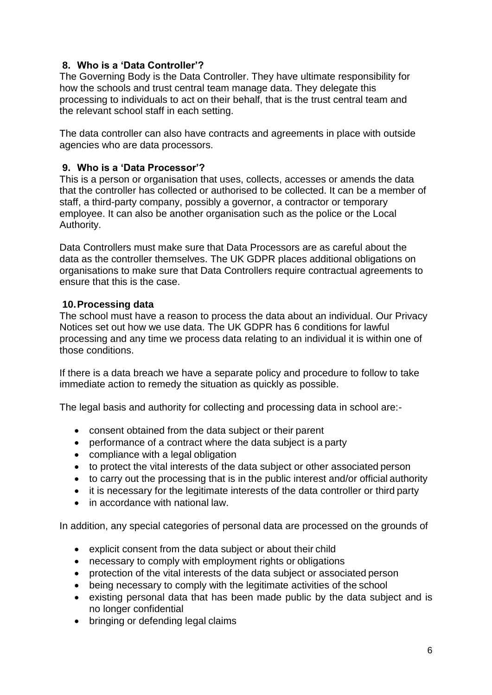# **8. Who is a 'Data Controller'?**

The Governing Body is the Data Controller. They have ultimate responsibility for how the schools and trust central team manage data. They delegate this processing to individuals to act on their behalf, that is the trust central team and the relevant school staff in each setting.

The data controller can also have contracts and agreements in place with outside agencies who are data processors.

# **9. Who is a 'Data Processor'?**

This is a person or organisation that uses, collects, accesses or amends the data that the controller has collected or authorised to be collected. It can be a member of staff, a third-party company, possibly a governor, a contractor or temporary employee. It can also be another organisation such as the police or the Local Authority.

Data Controllers must make sure that Data Processors are as careful about the data as the controller themselves. The UK GDPR places additional obligations on organisations to make sure that Data Controllers require contractual agreements to ensure that this is the case.

# **10.Processing data**

The school must have a reason to process the data about an individual. Our Privacy Notices set out how we use data. The UK GDPR has 6 conditions for lawful processing and any time we process data relating to an individual it is within one of those conditions.

If there is a data breach we have a separate policy and procedure to follow to take immediate action to remedy the situation as quickly as possible.

The legal basis and authority for collecting and processing data in school are:-

- consent obtained from the data subject or their parent
- performance of a contract where the data subject is a party
- compliance with a legal obligation
- to protect the vital interests of the data subject or other associated person
- to carry out the processing that is in the public interest and/or official authority
- it is necessary for the legitimate interests of the data controller or third party
- in accordance with national law.

In addition, any special categories of personal data are processed on the grounds of

- explicit consent from the data subject or about their child
- necessary to comply with employment rights or obligations
- protection of the vital interests of the data subject or associated person
- being necessary to comply with the legitimate activities of the school
- existing personal data that has been made public by the data subject and is no longer confidential
- bringing or defending legal claims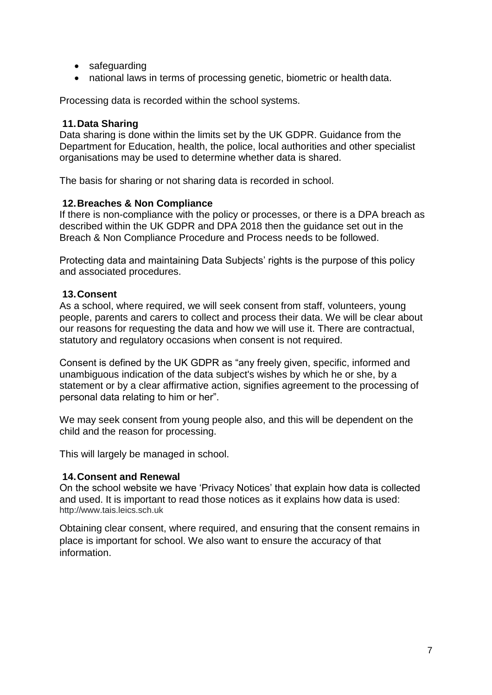- safeguarding
- national laws in terms of processing genetic, biometric or health data.

Processing data is recorded within the school systems.

# **11.Data Sharing**

Data sharing is done within the limits set by the UK GDPR. Guidance from the Department for Education, health, the police, local authorities and other specialist organisations may be used to determine whether data is shared.

The basis for sharing or not sharing data is recorded in school.

# **12.Breaches & Non Compliance**

If there is non-compliance with the policy or processes, or there is a DPA breach as described within the UK GDPR and DPA 2018 then the guidance set out in the Breach & Non Compliance Procedure and Process needs to be followed.

Protecting data and maintaining Data Subjects' rights is the purpose of this policy and associated procedures.

# **13.Consent**

As a school, where required, we will seek consent from staff, volunteers, young people, parents and carers to collect and process their data. We will be clear about our reasons for requesting the data and how we will use it. There are contractual, statutory and regulatory occasions when consent is not required.

Consent is defined by the UK GDPR as "any freely given, specific, informed and unambiguous indication of the data subject's wishes by which he or she, by a statement or by a clear affirmative action, signifies agreement to the processing of personal data relating to him or her".

We may seek consent from young people also, and this will be dependent on the child and the reason for processing.

This will largely be managed in school.

# **14.Consent and Renewal**

On the school website we have 'Privacy Notices' that explain how data is collected and used. It is important to read those notices as it explains how data is used: [http://www.tais.leics.sch.uk](http://www.tais.leics.sch.uk/)

Obtaining clear consent, where required, and ensuring that the consent remains in place is important for school. We also want to ensure the accuracy of that information.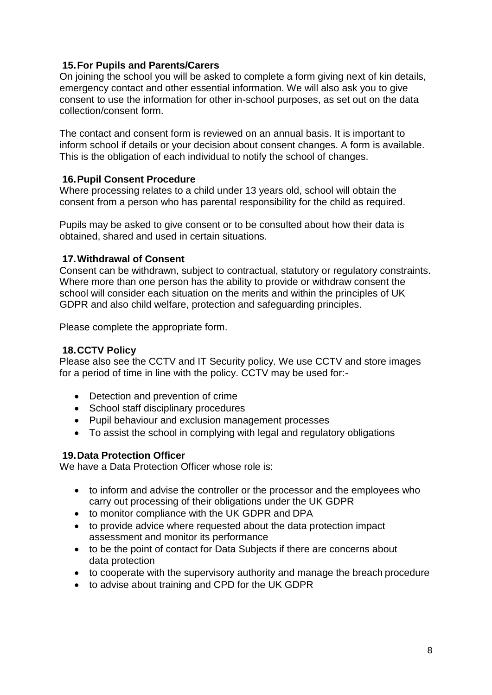# **15.For Pupils and Parents/Carers**

On joining the school you will be asked to complete a form giving next of kin details, emergency contact and other essential information. We will also ask you to give consent to use the information for other in-school purposes, as set out on the data collection/consent form.

The contact and consent form is reviewed on an annual basis. It is important to inform school if details or your decision about consent changes. A form is available. This is the obligation of each individual to notify the school of changes.

# **16.Pupil Consent Procedure**

Where processing relates to a child under 13 years old, school will obtain the consent from a person who has parental responsibility for the child as required.

Pupils may be asked to give consent or to be consulted about how their data is obtained, shared and used in certain situations.

# **17.Withdrawal of Consent**

Consent can be withdrawn, subject to contractual, statutory or regulatory constraints. Where more than one person has the ability to provide or withdraw consent the school will consider each situation on the merits and within the principles of UK GDPR and also child welfare, protection and safeguarding principles.

Please complete the appropriate form.

# **18.CCTV Policy**

Please also see the CCTV and IT Security policy. We use CCTV and store images for a period of time in line with the policy. CCTV may be used for:-

- Detection and prevention of crime
- School staff disciplinary procedures
- Pupil behaviour and exclusion management processes
- To assist the school in complying with legal and regulatory obligations

# **19.Data Protection Officer**

We have a Data Protection Officer whose role is:

- to inform and advise the controller or the processor and the employees who carry out processing of their obligations under the UK GDPR
- to monitor compliance with the UK GDPR and DPA
- to provide advice where requested about the data protection impact assessment and monitor its performance
- to be the point of contact for Data Subjects if there are concerns about data protection
- to cooperate with the supervisory authority and manage the breach procedure
- to advise about training and CPD for the UK GDPR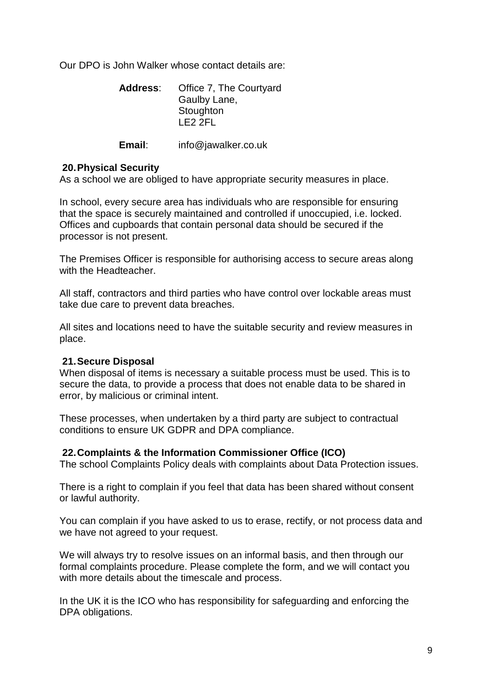Our DPO is John Walker whose contact details are:

| <b>Address:</b> | Office 7, The Courtyard |
|-----------------|-------------------------|
|                 | Gaulby Lane,            |
|                 | Stoughton               |
|                 | I F2 2FL                |

#### **Email**: info@jawalker.co.uk

#### **20.Physical Security**

As a school we are obliged to have appropriate security measures in place.

In school, every secure area has individuals who are responsible for ensuring that the space is securely maintained and controlled if unoccupied, i.e. locked. Offices and cupboards that contain personal data should be secured if the processor is not present.

The Premises Officer is responsible for authorising access to secure areas along with the Headteacher

All staff, contractors and third parties who have control over lockable areas must take due care to prevent data breaches.

All sites and locations need to have the suitable security and review measures in place.

#### **21.Secure Disposal**

When disposal of items is necessary a suitable process must be used. This is to secure the data, to provide a process that does not enable data to be shared in error, by malicious or criminal intent.

These processes, when undertaken by a third party are subject to contractual conditions to ensure UK GDPR and DPA compliance.

#### **22.Complaints & the Information Commissioner Office (ICO)**

The school Complaints Policy deals with complaints about Data Protection issues.

There is a right to complain if you feel that data has been shared without consent or lawful authority.

You can complain if you have asked to us to erase, rectify, or not process data and we have not agreed to your request.

We will always try to resolve issues on an informal basis, and then through our formal complaints procedure. Please complete the form, and we will contact you with more details about the timescale and process.

In the UK it is the ICO who has responsibility for safeguarding and enforcing the DPA obligations.